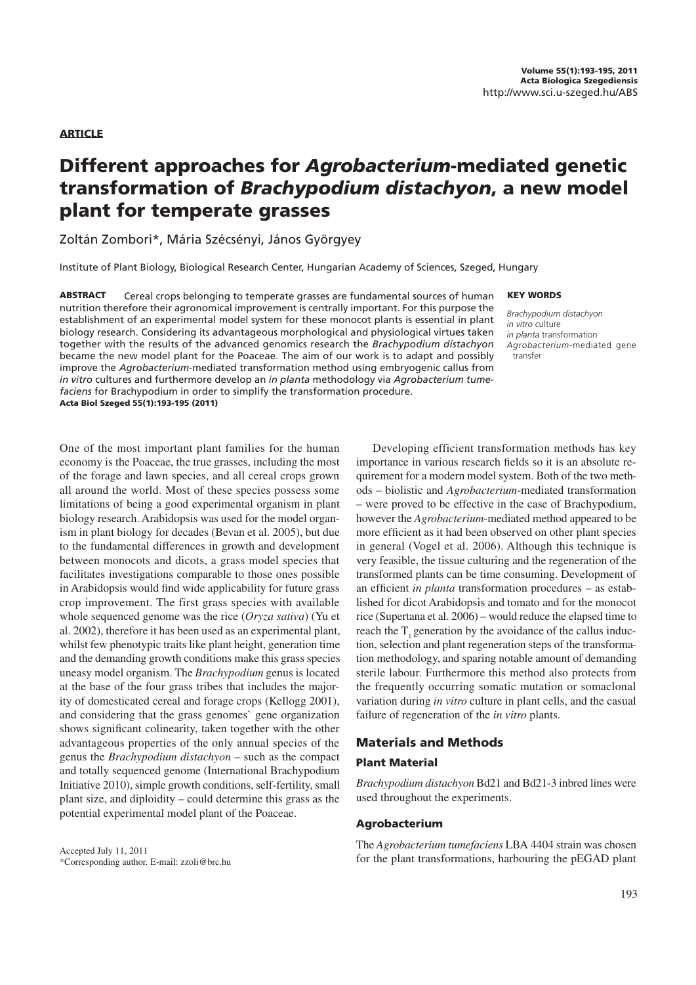## **ARTICLE**

# Different approaches for Agrobacterium-mediated genetic transformation of Brachypodium distachyon, a new model plant for temperate grasses

Zoltán Zombori\*, Mária Szécsényi, János Györgyey

Institute of Plant Biology, Biological Research Center, Hungarian Academy of Sciences, Szeged, Hungary

ABSTRACT Cereal crops belonging to temperate grasses are fundamental sources of human nutrition therefore their agronomical improvement is centrally important. For this purpose the establishment of an experimental model system for these monocot plants is essential in plant biology research. Considering its advantageous morphological and physiological virtues taken together with the results of the advanced genomics research the *Brachypodium distachyon* became the new model plant for the Poaceae. The aim of our work is to adapt and possibly improve the *Agrobacterium*-mediated transformation method using embryogenic callus from *in vitro* cultures and furthermore develop an *in planta* methodology via *Agrobacterium tumefaciens* for Brachypodium in order to simplify the transformation procedure. Acta Biol Szeged 55(1):193-195 (2011)

#### KEY WORDS

Brachypodium distachyon in vitro culture in planta transformation Agrobacterium-mediated gene transfer

One of the most important plant families for the human economy is the Poaceae, the true grasses, including the most of the forage and lawn species, and all cereal crops grown all around the world. Most of these species possess some limitations of being a good experimental organism in plant biology research. Arabidopsis was used for the model organism in plant biology for decades (Bevan et al. 2005), but due to the fundamental differences in growth and development between monocots and dicots, a grass model species that facilitates investigations comparable to those ones possible in Arabidopsis would find wide applicability for future grass crop improvement. The first grass species with available whole sequenced genome was the rice (*Oryza sativa*) (Yu et al. 2002), therefore it has been used as an experimental plant, whilst few phenotypic traits like plant height, generation time and the demanding growth conditions make this grass species uneasy model organism. The *Brachypodium* genus is located at the base of the four grass tribes that includes the majority of domesticated cereal and forage crops (Kellogg 2001), and considering that the grass genomes` gene organization shows significant colinearity, taken together with the other advantageous properties of the only annual species of the genus the *Brachypodium distachyon* – such as the compact and totally sequenced genome (International Brachypodium Initiative 2010), simple growth conditions, self-fertility, small plant size, and diploidity  $-$  could determine this grass as the potential experimental model plant of the Poaceae.

Accepted July 11, 2011 \*Corresponding author. E-mail: zzoli@brc.hu

Developing efficient transformation methods has key importance in various research fields so it is an absolute requirement for a modern model system. Both of the two methods - biolistic and *Agrobacterium*-mediated transformation Ð were proved to be effective in the case of Brachypodium, however the *Agrobacterium*-mediated method appeared to be more efficient as it had been observed on other plant species in general (Vogel et al. 2006). Although this technique is very feasible, the tissue culturing and the regeneration of the transformed plants can be time consuming. Development of an efficient *in planta* transformation procedures – as established for dicot Arabidopsis and tomato and for the monocot rice (Supertana et al.  $2006$ ) – would reduce the elapsed time to reach the T<sub>1</sub> generation by the avoidance of the callus induction, selection and plant regeneration steps of the transformation methodology, and sparing notable amount of demanding sterile labour. Furthermore this method also protects from the frequently occurring somatic mutation or somaclonal variation during *in vitro* culture in plant cells, and the casual failure of regeneration of the *in vitro* plants.

## Materials and Methods

## Plant Material

*Brachypodium distachyon* Bd21 and Bd21-3 inbred lines were used throughout the experiments.

## Agrobacterium

The *Agrobacterium tumefaciens* LBA 4404 strain was chosen for the plant transformations, harbouring the pEGAD plant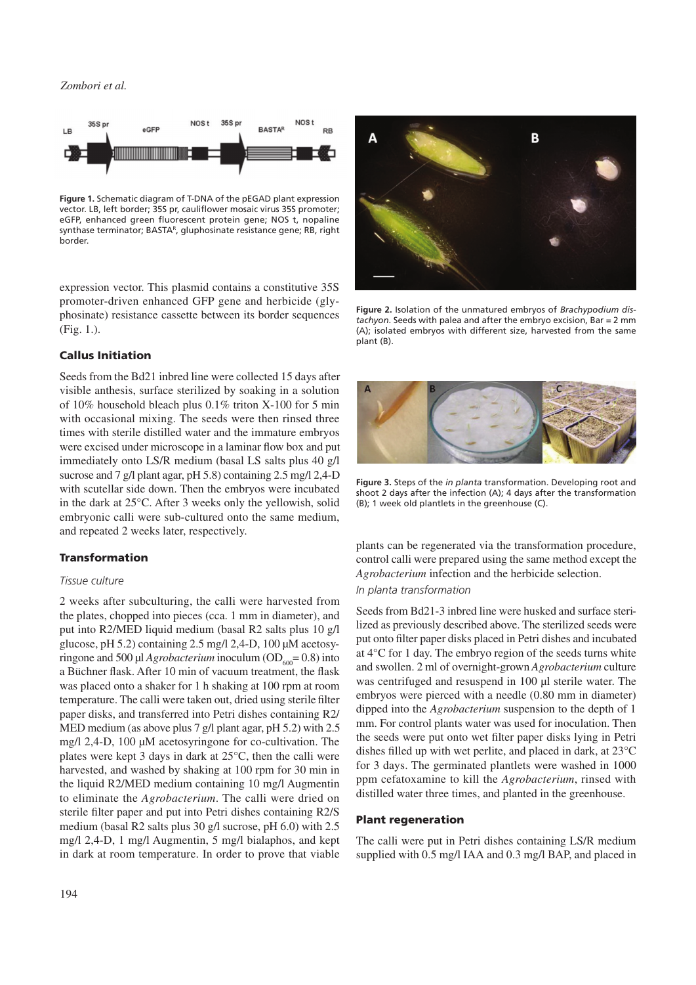## *Zombori et al.*



**Figure 1.** Schematic diagram of T-DNA of the pEGAD plant expression vector. LB, left border; 35S pr, cauliflower mosaic virus 35S promoter; eGFP, enhanced green fluorescent protein gene; NOS t, nopaline synthase terminator; BASTAR, gluphosinate resistance gene; RB, right border.

expression vector. This plasmid contains a constitutive 35S promoter-driven enhanced GFP gene and herbicide (glyphosinate) resistance cassette between its border sequences (Fig. 1.).

## Callus Initiation

Seeds from the Bd21 inbred line were collected 15 days after visible anthesis, surface sterilized by soaking in a solution of 10% household bleach plus 0.1% triton X-100 for 5 min with occasional mixing. The seeds were then rinsed three times with sterile distilled water and the immature embryos were excised under microscope in a laminar flow box and put immediately onto LS/R medium (basal LS salts plus 40 g/l sucrose and 7 g/l plant agar, pH 5.8) containing 2.5 mg/l 2,4-D with scutellar side down. Then the embryos were incubated in the dark at 25°C. After 3 weeks only the yellowish, solid embryonic calli were sub-cultured onto the same medium, and repeated 2 weeks later, respectively.

## Transformation

### Tissue culture

2 weeks after subculturing, the calli were harvested from the plates, chopped into pieces (cca. 1 mm in diameter), and put into R2/MED liquid medium (basal R2 salts plus 10 g/l glucose, pH 5.2) containing 2.5 mg/l 2,4-D, 100 µM acetosyringone and 500 µl *Agrobacterium* inoculum ( $OD<sub>600</sub> = 0.8$ ) into a Büchner flask. After 10 min of vacuum treatment, the flask was placed onto a shaker for 1 h shaking at 100 rpm at room temperature. The calli were taken out, dried using sterile filter paper disks, and transferred into Petri dishes containing R2/ MED medium (as above plus 7 g/l plant agar, pH 5.2) with 2.5 mg/l 2,4-D, 100 µM acetosyringone for co-cultivation. The plates were kept 3 days in dark at  $25^{\circ}$ C, then the calli were harvested, and washed by shaking at 100 rpm for 30 min in the liquid R2/MED medium containing 10 mg/l Augmentin to eliminate the *Agrobacterium*. The calli were dried on sterile filter paper and put into Petri dishes containing R2/S medium (basal R2 salts plus 30 g/l sucrose, pH 6.0) with 2.5 mg/l 2,4-D, 1 mg/l Augmentin, 5 mg/l bialaphos, and kept in dark at room temperature. In order to prove that viable



**Figure 2.** Isolation of the unmatured embryos of *Brachypodium distachyon*. Seeds with palea and after the embryo excision, Bar = 2 mm (A); isolated embryos with different size, harvested from the same plant (B).



**Figure 3.** Steps of the *in planta* transformation. Developing root and shoot 2 days after the infection (A); 4 days after the transformation (B); 1 week old plantlets in the greenhouse (C).

plants can be regenerated via the transformation procedure, control calli were prepared using the same method except the *Agrobacterium* infection and the herbicide selection.

# In planta transformation

Seeds from Bd21-3 inbred line were husked and surface sterilized as previously described above. The sterilized seeds were put onto filter paper disks placed in Petri dishes and incubated at  $4^{\circ}$ C for 1 day. The embryo region of the seeds turns white and swollen. 2 ml of overnight-grown *Agrobacterium* culture was centrifuged and resuspend in 100 µl sterile water. The embryos were pierced with a needle (0.80 mm in diameter) dipped into the *Agrobacterium* suspension to the depth of 1 mm. For control plants water was used for inoculation. Then the seeds were put onto wet filter paper disks lying in Petri dishes filled up with wet perlite, and placed in dark, at  $23^{\circ}$ C for 3 days. The germinated plantlets were washed in 1000 ppm cefatoxamine to kill the *Agrobacterium*, rinsed with distilled water three times, and planted in the greenhouse.

#### Plant regeneration

The calli were put in Petri dishes containing LS/R medium supplied with 0.5 mg/l IAA and 0.3 mg/l BAP, and placed in